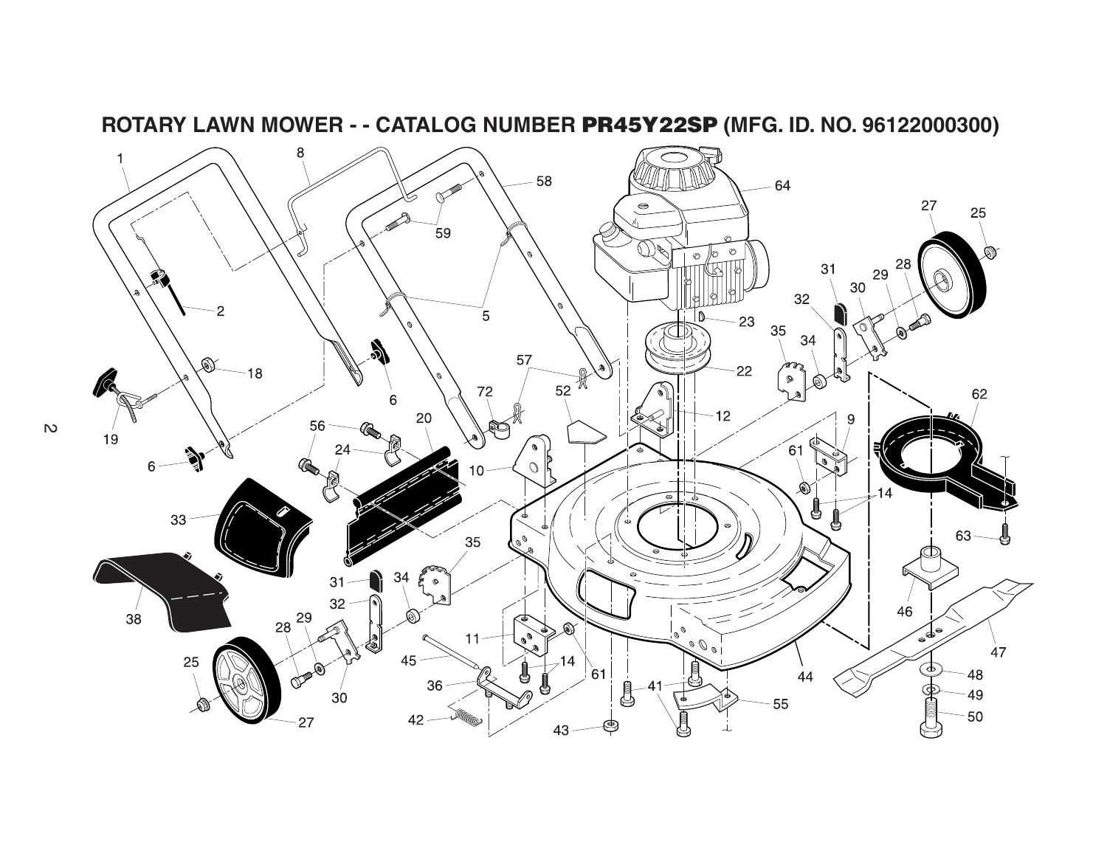

**ROTARY LAWN MOWER - - CATALOG NUMBER PR45Y22SP (MFG. ID. NO. 96122000300)**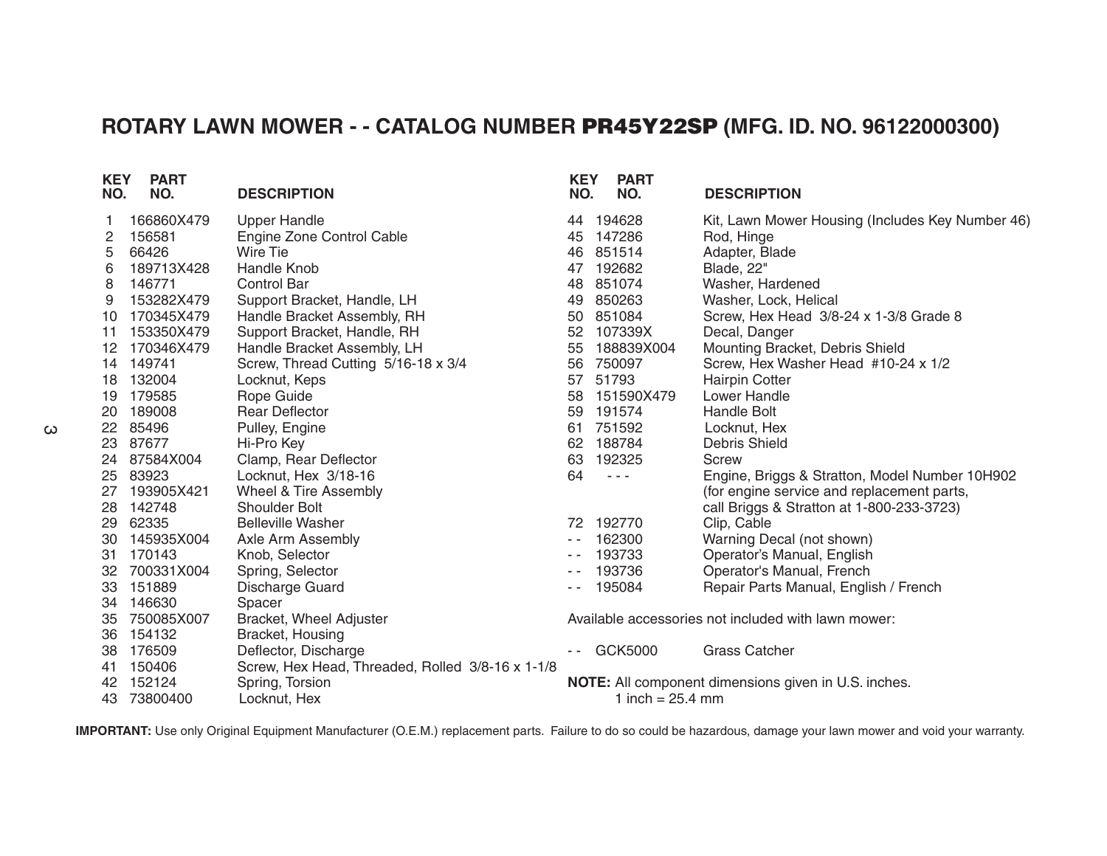## **ROTARY LAWN MOWER - - CATALOG NUMBER PR45Y22SP (MFG. ID. NO. 96122000300)**

| <b>KEY</b><br>NO. | <b>PART</b><br>NO. | <b>DESCRIPTION</b>                               | <b>KEY</b><br>NO.                                   | <b>PART</b><br>NO.                                                                             | <b>DESCRIPTION</b>                               |  |  |
|-------------------|--------------------|--------------------------------------------------|-----------------------------------------------------|------------------------------------------------------------------------------------------------|--------------------------------------------------|--|--|
|                   | 166860X479         | <b>Upper Handle</b>                              |                                                     | 44 194628                                                                                      | Kit, Lawn Mower Housing (Includes Key Number 46) |  |  |
| 2                 | 156581             | Engine Zone Control Cable                        | 45                                                  | 147286                                                                                         | Rod, Hinge                                       |  |  |
| 5                 | 66426              | Wire Tie                                         | 46                                                  | 851514                                                                                         | Adapter, Blade                                   |  |  |
| 6                 | 189713X428         | Handle Knob                                      | 47                                                  | 192682                                                                                         | Blade, 22"                                       |  |  |
| 8                 | 146771             | <b>Control Bar</b>                               | 48                                                  | 851074                                                                                         | Washer, Hardened                                 |  |  |
| 9                 | 153282X479         | Support Bracket, Handle, LH                      | 49                                                  | 850263                                                                                         | Washer, Lock, Helical                            |  |  |
| 10                | 170345X479         | Handle Bracket Assembly, RH                      | 50                                                  | 851084                                                                                         | Screw, Hex Head 3/8-24 x 1-3/8 Grade 8           |  |  |
| 11                | 153350X479         | Support Bracket, Handle, RH                      | 52                                                  | 107339X                                                                                        | Decal, Danger                                    |  |  |
| 12                | 170346X479         | Handle Bracket Assembly, LH                      | 55                                                  | 188839X004                                                                                     | Mounting Bracket, Debris Shield                  |  |  |
| 14                | 149741             | Screw, Thread Cutting 5/16-18 x 3/4              | 56                                                  | 750097                                                                                         | Screw, Hex Washer Head #10-24 x 1/2              |  |  |
| 18                | 132004             | Locknut, Keps                                    | 57                                                  | 51793                                                                                          | <b>Hairpin Cotter</b>                            |  |  |
| 19                | 179585             | Rope Guide                                       | 58                                                  | 151590X479                                                                                     | Lower Handle                                     |  |  |
| 20                | 189008             | <b>Rear Deflector</b>                            | 59                                                  | 191574                                                                                         | <b>Handle Bolt</b>                               |  |  |
| 22                | 85496              | Pulley, Engine                                   | 61                                                  | 751592                                                                                         | Locknut, Hex                                     |  |  |
| 23                | 87677              | Hi-Pro Key                                       | 62                                                  | 188784                                                                                         | <b>Debris Shield</b>                             |  |  |
| 24                | 87584X004          | Clamp, Rear Deflector                            | 63                                                  | 192325                                                                                         | Screw                                            |  |  |
| 25                | 83923              | Locknut, Hex 3/18-16                             | 64                                                  | $\frac{1}{2} \left( \frac{1}{2} \right) \left( \frac{1}{2} \right) \left( \frac{1}{2} \right)$ | Engine, Briggs & Stratton, Model Number 10H902   |  |  |
| 27                | 193905X421         | Wheel & Tire Assembly                            |                                                     |                                                                                                | (for engine service and replacement parts,       |  |  |
| 28                | 142748             | <b>Shoulder Bolt</b>                             |                                                     |                                                                                                | call Briggs & Stratton at 1-800-233-3723)        |  |  |
| 29                | 62335              | <b>Belleville Washer</b>                         |                                                     | 72 192770                                                                                      | Clip, Cable                                      |  |  |
| 30                | 145935X004         | Axle Arm Assembly                                | $\frac{1}{2} \left( \frac{1}{2} \right)$            | 162300                                                                                         | Warning Decal (not shown)                        |  |  |
| 31                | 170143             | Knob, Selector                                   |                                                     | 193733                                                                                         | Operator's Manual, English                       |  |  |
| 32                | 700331X004         | Spring, Selector                                 |                                                     | 193736                                                                                         | Operator's Manual, French                        |  |  |
| 33                | 151889             | Discharge Guard                                  |                                                     | 195084                                                                                         | Repair Parts Manual, English / French            |  |  |
| 34                | 146630             | Spacer                                           |                                                     |                                                                                                |                                                  |  |  |
| 35                | 750085X007         | Bracket, Wheel Adjuster                          | Available accessories not included with lawn mower: |                                                                                                |                                                  |  |  |
| 36                | 154132             | Bracket, Housing                                 |                                                     |                                                                                                |                                                  |  |  |
| 38                | 176509             | Deflector, Discharge                             |                                                     | GCK5000                                                                                        | <b>Grass Catcher</b>                             |  |  |
| 41                | 150406             | Screw, Hex Head, Threaded, Rolled 3/8-16 x 1-1/8 |                                                     |                                                                                                |                                                  |  |  |
| 42                | 152124             | Spring, Torsion                                  |                                                     | NOTE: All component dimensions given in U.S. inches.                                           |                                                  |  |  |
| 43                | 73800400           | Locknut, Hex                                     |                                                     | 1 inch = $25.4$ mm                                                                             |                                                  |  |  |

**IMPORTANT:** Use only Original Equipment Manufacturer (O.E.M.) replacement parts. Failure to do so could be hazardous, damage your lawn mower and void your warranty.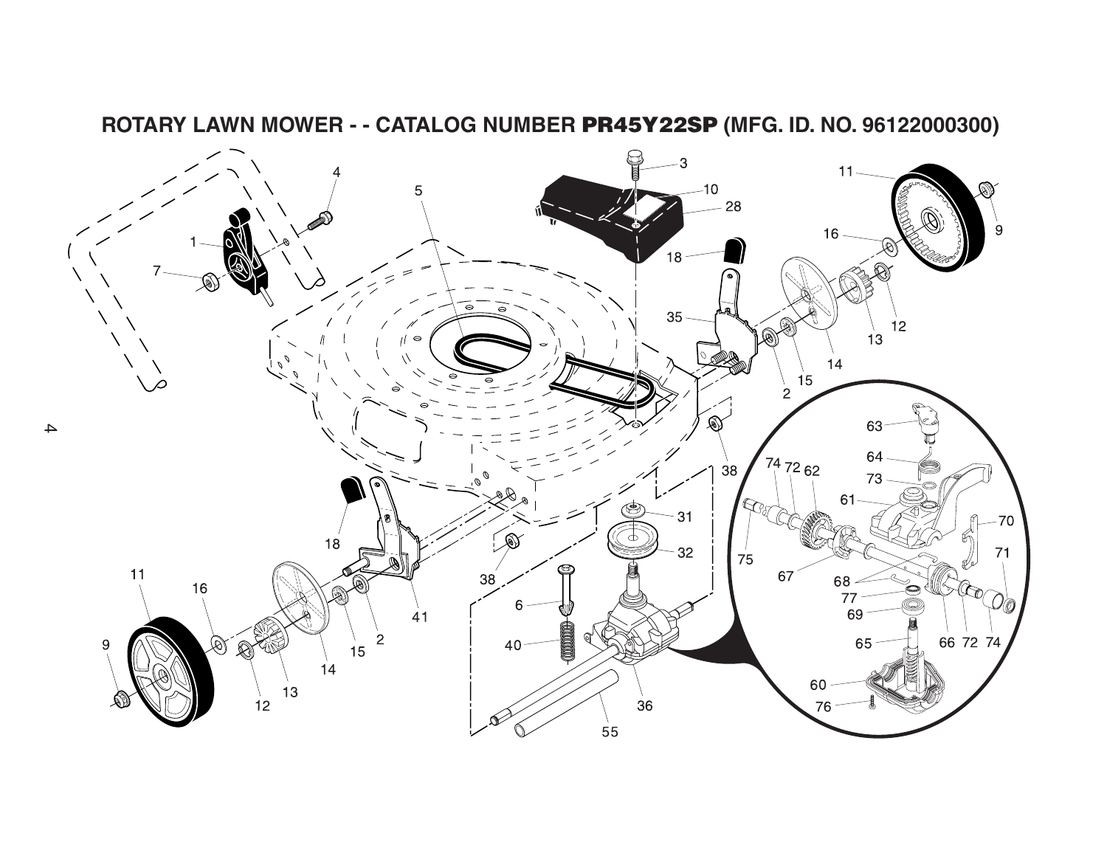

**ROTARY LAWN MOWER - - CATALOG NUMBER PR45Y22SP (MFG. ID. NO. 96122000300)**